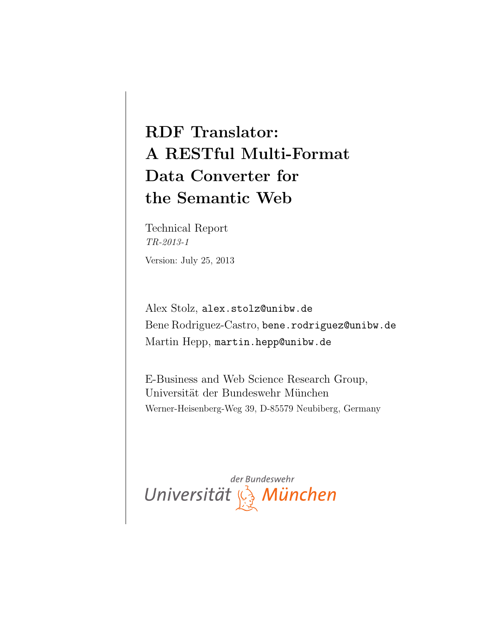# RDF Translator: A RESTful Multi-Format Data Converter for the Semantic Web

Technical Report TR-2013-1 Version: July 25, 2013

Alex Stolz, alex.stolz@unibw.de Bene Rodriguez-Castro, bene.rodriguez@unibw.de Martin Hepp, martin.hepp@unibw.de

E-Business and Web Science Research Group, Universität der Bundeswehr München Werner-Heisenberg-Weg 39, D-85579 Neubiberg, Germany

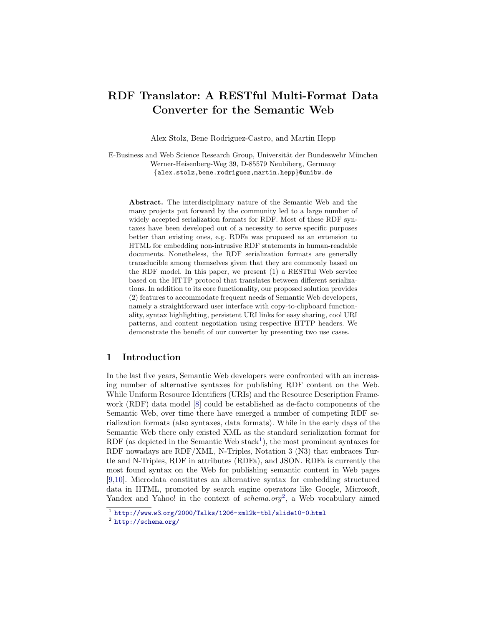# RDF Translator: A RESTful Multi-Format Data Converter for the Semantic Web

Alex Stolz, Bene Rodriguez-Castro, and Martin Hepp

E-Business and Web Science Research Group, Universität der Bundeswehr München Werner-Heisenberg-Weg 39, D-85579 Neubiberg, Germany {alex.stolz,bene.rodriguez,martin.hepp}@unibw.de

Abstract. The interdisciplinary nature of the Semantic Web and the many projects put forward by the community led to a large number of widely accepted serialization formats for RDF. Most of these RDF syntaxes have been developed out of a necessity to serve specific purposes better than existing ones, e.g. RDFa was proposed as an extension to HTML for embedding non-intrusive RDF statements in human-readable documents. Nonetheless, the RDF serialization formats are generally transducible among themselves given that they are commonly based on the RDF model. In this paper, we present (1) a RESTful Web service based on the HTTP protocol that translates between different serializations. In addition to its core functionality, our proposed solution provides (2) features to accommodate frequent needs of Semantic Web developers, namely a straightforward user interface with copy-to-clipboard functionality, syntax highlighting, persistent URI links for easy sharing, cool URI patterns, and content negotiation using respective HTTP headers. We demonstrate the benefit of our converter by presenting two use cases.

# 1 Introduction

In the last five years, Semantic Web developers were confronted with an increasing number of alternative syntaxes for publishing RDF content on the Web. While Uniform Resource Identifiers (URIs) and the Resource Description Framework (RDF) data model [\[8\]](#page-15-0) could be established as de-facto components of the Semantic Web, over time there have emerged a number of competing RDF serialization formats (also syntaxes, data formats). While in the early days of the Semantic Web there only existed XML as the standard serialization format for RDF (as depicted in the Semantic Web stack<sup>[1](#page-1-0)</sup>), the most prominent syntaxes for RDF nowadays are RDF/XML, N-Triples, Notation 3 (N3) that embraces Turtle and N-Triples, RDF in attributes (RDFa), and JSON. RDFa is currently the most found syntax on the Web for publishing semantic content in Web pages [\[9,](#page-15-1)[10\]](#page-15-2). Microdata constitutes an alternative syntax for embedding structured data in HTML, promoted by search engine operators like Google, Microsoft, Yandex and Yahoo! in the context of  $schema.org^2$  $schema.org^2$ , a Web vocabulary aimed

<span id="page-1-0"></span><sup>1</sup> http://www.w3.[org/2000/Talks/1206-xml2k-tbl/slide10-0](http://www.w3.org/2000/Talks/1206-xml2k-tbl/slide10-0.html).html

<span id="page-1-1"></span> $<sup>2</sup>$  [http://schema](http://schema.org/).org/</sup>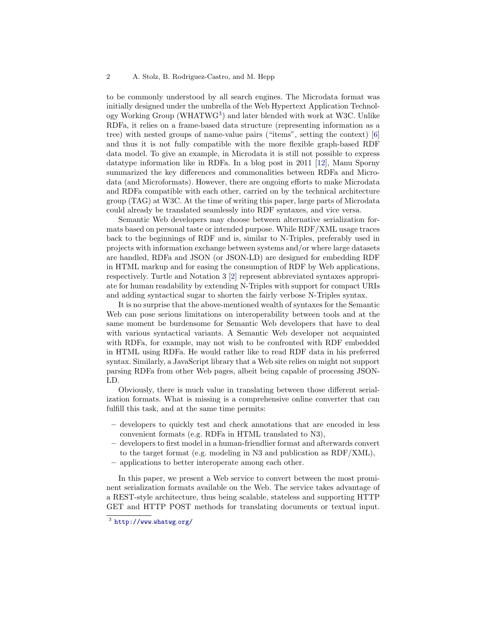to be commonly understood by all search engines. The Microdata format was initially designed under the umbrella of the Web Hypertext Application Technology Working Group (WHATWG[3](#page-2-0) ) and later blended with work at W3C. Unlike RDFa, it relies on a frame-based data structure (representing information as a tree) with nested groups of name-value pairs ("items", setting the context) [\[6\]](#page-15-3) and thus it is not fully compatible with the more flexible graph-based RDF data model. To give an example, in Microdata it is still not possible to express datatype information like in RDFa. In a blog post in 2011 [\[12\]](#page-15-4), Manu Sporny summarized the key differences and commonalities between RDFa and Microdata (and Microformats). However, there are ongoing efforts to make Microdata and RDFa compatible with each other, carried on by the technical architecture group (TAG) at W3C. At the time of writing this paper, large parts of Microdata could already be translated seamlessly into RDF syntaxes, and vice versa.

Semantic Web developers may choose between alternative serialization formats based on personal taste or intended purpose. While RDF/XML usage traces back to the beginnings of RDF and is, similar to N-Triples, preferably used in projects with information exchange between systems and/or where large datasets are handled, RDFa and JSON (or JSON-LD) are designed for embedding RDF in HTML markup and for easing the consumption of RDF by Web applications, respectively. Turtle and Notation 3 [\[2\]](#page-15-5) represent abbreviated syntaxes appropriate for human readability by extending N-Triples with support for compact URIs and adding syntactical sugar to shorten the fairly verbose N-Triples syntax.

It is no surprise that the above-mentioned wealth of syntaxes for the Semantic Web can pose serious limitations on interoperability between tools and at the same moment be burdensome for Semantic Web developers that have to deal with various syntactical variants. A Semantic Web developer not acquainted with RDFa, for example, may not wish to be confronted with RDF embedded in HTML using RDFa. He would rather like to read RDF data in his preferred syntax. Similarly, a JavaScript library that a Web site relies on might not support parsing RDFa from other Web pages, albeit being capable of processing JSON-LD.

Obviously, there is much value in translating between those different serialization formats. What is missing is a comprehensive online converter that can fulfill this task, and at the same time permits:

- developers to quickly test and check annotations that are encoded in less convenient formats (e.g. RDFa in HTML translated to N3),
- developers to first model in a human-friendlier format and afterwards convert to the target format (e.g. modeling in N3 and publication as RDF/XML),
- applications to better interoperate among each other.

In this paper, we present a Web service to convert between the most prominent serialization formats available on the Web. The service takes advantage of a REST-style architecture, thus being scalable, stateless and supporting HTTP GET and HTTP POST methods for translating documents or textual input.

<span id="page-2-0"></span><sup>3</sup> [http://www](http://www.whatwg.org/).whatwg.org/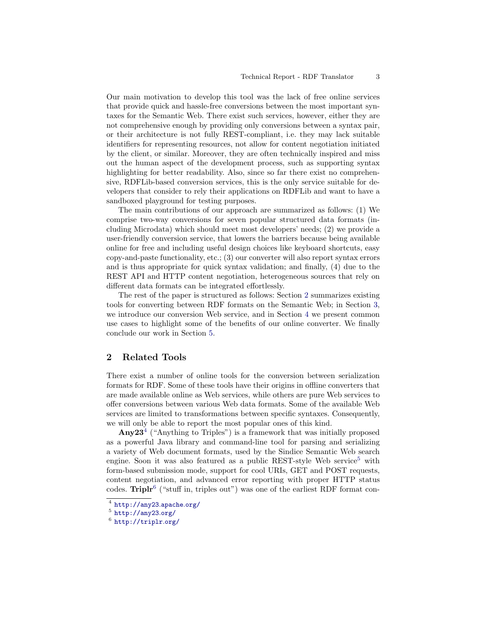Our main motivation to develop this tool was the lack of free online services that provide quick and hassle-free conversions between the most important syntaxes for the Semantic Web. There exist such services, however, either they are not comprehensive enough by providing only conversions between a syntax pair, or their architecture is not fully REST-compliant, i.e. they may lack suitable identifiers for representing resources, not allow for content negotiation initiated by the client, or similar. Moreover, they are often technically inspired and miss out the human aspect of the development process, such as supporting syntax highlighting for better readability. Also, since so far there exist no comprehensive, RDFLib-based conversion services, this is the only service suitable for developers that consider to rely their applications on RDFLib and want to have a sandboxed playground for testing purposes.

The main contributions of our approach are summarized as follows: (1) We comprise two-way conversions for seven popular structured data formats (including Microdata) which should meet most developers' needs; (2) we provide a user-friendly conversion service, that lowers the barriers because being available online for free and including useful design choices like keyboard shortcuts, easy copy-and-paste functionality, etc.; (3) our converter will also report syntax errors and is thus appropriate for quick syntax validation; and finally, (4) due to the REST API and HTTP content negotiation, heterogeneous sources that rely on different data formats can be integrated effortlessly.

The rest of the paper is structured as follows: Section [2](#page-3-0) summarizes existing tools for converting between RDF formats on the Semantic Web; in Section [3,](#page-5-0) we introduce our conversion Web service, and in Section [4](#page-12-0) we present common use cases to highlight some of the benefits of our online converter. We finally conclude our work in Section [5.](#page-14-0)

## <span id="page-3-0"></span>2 Related Tools

There exist a number of online tools for the conversion between serialization formats for RDF. Some of these tools have their origins in offline converters that are made available online as Web services, while others are pure Web services to offer conversions between various Web data formats. Some of the available Web services are limited to transformations between specific syntaxes. Consequently, we will only be able to report the most popular ones of this kind.

 $\text{Any} 23^4$  $\text{Any} 23^4$  ("Anything to Triples") is a framework that was initially proposed as a powerful Java library and command-line tool for parsing and serializing a variety of Web document formats, used by the Sindice Semantic Web search engine. Soon it was also featured as a public REST-style Web service<sup>[5](#page-3-2)</sup> with form-based submission mode, support for cool URIs, GET and POST requests, content negotiation, and advanced error reporting with proper HTTP status codes. Triplr<sup>[6](#page-3-3)</sup> ("stuff in, triples out") was one of the earliest RDF format con-

<span id="page-3-1"></span> $^4$  [http://any23](http://any23.apache.org/).apache.org/

<span id="page-3-2"></span> $5$  [http://any23](http://any23.org/).org/

<span id="page-3-3"></span> $^6$  [http://triplr](http://triplr.org/).org/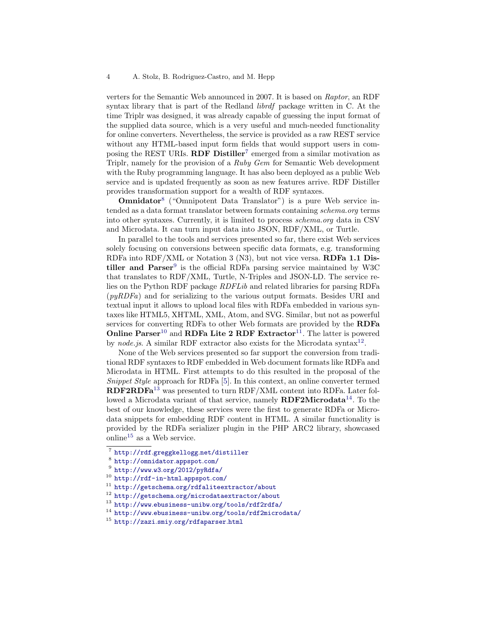verters for the Semantic Web announced in 2007. It is based on Raptor, an RDF syntax library that is part of the Redland librdf package written in C. At the time Triplr was designed, it was already capable of guessing the input format of the supplied data source, which is a very useful and much-needed functionality for online converters. Nevertheless, the service is provided as a raw REST service without any HTML-based input form fields that would support users in composing the REST URIs. **RDF Distiller**<sup>[7](#page-4-0)</sup> emerged from a similar motivation as Triplr, namely for the provision of a Ruby Gem for Semantic Web development with the Ruby programming language. It has also been deployed as a public Web service and is updated frequently as soon as new features arrive. RDF Distiller provides transformation support for a wealth of RDF syntaxes.

**Omnidator**<sup>[8](#page-4-1)</sup> ("Omnipotent Data Translator") is a pure Web service intended as a data format translator between formats containing schema.org terms into other syntaxes. Currently, it is limited to process schema.org data in CSV and Microdata. It can turn input data into JSON, RDF/XML, or Turtle.

In parallel to the tools and services presented so far, there exist Web services solely focusing on conversions between specific data formats, e.g. transforming RDFa into RDF/XML or Notation 3 (N3), but not vice versa. RDFa 1.1 Distiller and  $\text{Parser}^9$  $\text{Parser}^9$  is the official RDFa parsing service maintained by W3C that translates to RDF/XML, Turtle, N-Triples and JSON-LD. The service relies on the Python RDF package RDFLib and related libraries for parsing RDFa  $(pyRDFa)$  and for serializing to the various output formats. Besides URI and textual input it allows to upload local files with RDFa embedded in various syntaxes like HTML5, XHTML, XML, Atom, and SVG. Similar, but not as powerful services for converting RDFa to other Web formats are provided by the RDFa Online  $\text{Parser}^{10}$  $\text{Parser}^{10}$  $\text{Parser}^{10}$  and RDFa Lite 2 RDF Extractor<sup>[11](#page-4-4)</sup>. The latter is powered by node.js. A similar RDF extractor also exists for the Microdata syntax<sup>[12](#page-4-5)</sup>.

None of the Web services presented so far support the conversion from traditional RDF syntaxes to RDF embedded in Web document formats like RDFa and Microdata in HTML. First attempts to do this resulted in the proposal of the Snippet Style approach for RDFa [\[5\]](#page-15-6). In this context, an online converter termed RDF2RDFa[13](#page-4-6) was presented to turn RDF/XML content into RDFa. Later followed a Microdata variant of that service, namely  $RDF2Microdata^{14}$  $RDF2Microdata^{14}$  $RDF2Microdata^{14}$ . To the best of our knowledge, these services were the first to generate RDFa or Microdata snippets for embedding RDF content in HTML. A similar functionality is provided by the RDFa serializer plugin in the PHP ARC2 library, showcased online<sup>[15](#page-4-8)</sup> as a Web service.

<span id="page-4-1"></span><span id="page-4-0"></span><sup>7</sup> http://rdf.greggkellogg.[net/distiller](http://rdf.greggkellogg.net/distiller)

<sup>8</sup> [http://omnidator](http://omnidator.appspot.com/).appspot.com/

<span id="page-4-2"></span> $^9$  http://www.w3.[org/2012/pyRdfa/](http://www.w3.org/2012/pyRdfa/)

<span id="page-4-3"></span><sup>10</sup> [http://rdf-in-html](http://rdf-in-html.appspot.com/).appspot.com/

<span id="page-4-4"></span><sup>11</sup> http://getschema.[org/rdfaliteextractor/about](http://getschema.org/rdfaliteextractor/about)

<span id="page-4-5"></span><sup>12</sup> http://getschema.[org/microdataextractor/about](http://getschema.org/microdataextractor/about)

<span id="page-4-6"></span><sup>13</sup> http://www.ebusiness-unibw.[org/tools/rdf2rdfa/](http://www.ebusiness-unibw.org/tools/rdf2rdfa/)

<span id="page-4-7"></span><sup>14</sup> http://www.ebusiness-unibw.[org/tools/rdf2microdata/](http://www.ebusiness-unibw.org/tools/rdf2microdata/)

<span id="page-4-8"></span><sup>15</sup> http://zazi.smiy.[org/rdfaparser](http://zazi.smiy.org/rdfaparser.html).html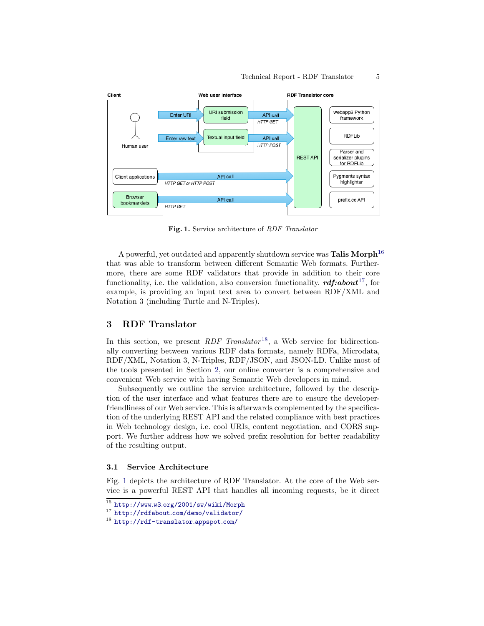

<span id="page-5-4"></span>Fig. 1. Service architecture of RDF Translator

A powerful, yet outdated and apparently shutdown service was **Talis Morph**<sup>[16](#page-5-1)</sup> that was able to transform between different Semantic Web formats. Furthermore, there are some RDF validators that provide in addition to their core functionality, i.e. the validation, also conversion functionality.  $\mathbf{r} \mathbf{d} \mathbf{f} : \mathbf{a} \mathbf{b} \mathbf{o} \mathbf{u} \mathbf{t}^{17}$  $\mathbf{r} \mathbf{d} \mathbf{f} : \mathbf{a} \mathbf{b} \mathbf{o} \mathbf{u} \mathbf{t}^{17}$  $\mathbf{r} \mathbf{d} \mathbf{f} : \mathbf{a} \mathbf{b} \mathbf{o} \mathbf{u} \mathbf{t}^{17}$ , for example, is providing an input text area to convert between RDF/XML and Notation 3 (including Turtle and N-Triples).

# <span id="page-5-0"></span>3 RDF Translator

In this section, we present  $RDF$  Translator<sup>[18](#page-5-3)</sup>, a Web service for bidirectionally converting between various RDF data formats, namely RDFa, Microdata, RDF/XML, Notation 3, N-Triples, RDF/JSON, and JSON-LD. Unlike most of the tools presented in Section [2,](#page-3-0) our online converter is a comprehensive and convenient Web service with having Semantic Web developers in mind.

Subsequently we outline the service architecture, followed by the description of the user interface and what features there are to ensure the developerfriendliness of our Web service. This is afterwards complemented by the specification of the underlying REST API and the related compliance with best practices in Web technology design, i.e. cool URIs, content negotiation, and CORS support. We further address how we solved prefix resolution for better readability of the resulting output.

#### 3.1 Service Architecture

Fig. [1](#page-5-4) depicts the architecture of RDF Translator. At the core of the Web service is a powerful REST API that handles all incoming requests, be it direct

<span id="page-5-1"></span><sup>16</sup> http://www.w3.[org/2001/sw/wiki/Morph](http://www.w3.org/2001/sw/wiki/Morph)

<span id="page-5-2"></span><sup>17</sup> http://rdfabout.[com/demo/validator/](http://rdfabout.com/demo/validator/)

<span id="page-5-3"></span><sup>18</sup> [http://rdf-translator](http://rdf-translator.appspot.com/).appspot.com/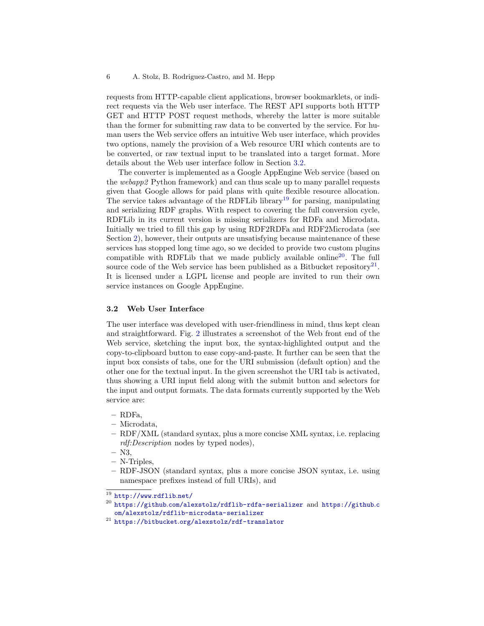requests from HTTP-capable client applications, browser bookmarklets, or indirect requests via the Web user interface. The REST API supports both HTTP GET and HTTP POST request methods, whereby the latter is more suitable than the former for submitting raw data to be converted by the service. For human users the Web service offers an intuitive Web user interface, which provides two options, namely the provision of a Web resource URI which contents are to be converted, or raw textual input to be translated into a target format. More details about the Web user interface follow in Section [3.2.](#page-6-0)

The converter is implemented as a Google AppEngine Web service (based on the webapp2 Python framework) and can thus scale up to many parallel requests given that Google allows for paid plans with quite flexible resource allocation. The service takes advantage of the RDFLib library<sup>[19](#page-6-1)</sup> for parsing, manipulating and serializing RDF graphs. With respect to covering the full conversion cycle, RDFLib in its current version is missing serializers for RDFa and Microdata. Initially we tried to fill this gap by using RDF2RDFa and RDF2Microdata (see Section [2\)](#page-3-0), however, their outputs are unsatisfying because maintenance of these services has stopped long time ago, so we decided to provide two custom plugins compatible with RDFLib that we made publicly available online<sup>[20](#page-6-2)</sup>. The full source code of the Web service has been published as a Bitbucket repository<sup>[21](#page-6-3)</sup>. It is licensed under a LGPL license and people are invited to run their own service instances on Google AppEngine.

#### <span id="page-6-0"></span>3.2 Web User Interface

The user interface was developed with user-friendliness in mind, thus kept clean and straightforward. Fig. [2](#page-7-0) illustrates a screenshot of the Web front end of the Web service, sketching the input box, the syntax-highlighted output and the copy-to-clipboard button to ease copy-and-paste. It further can be seen that the input box consists of tabs, one for the URI submission (default option) and the other one for the textual input. In the given screenshot the URI tab is activated, thus showing a URI input field along with the submit button and selectors for the input and output formats. The data formats currently supported by the Web service are:

- RDFa,
- Microdata,
- RDF/XML (standard syntax, plus a more concise XML syntax, i.e. replacing rdf:Description nodes by typed nodes),
- N3,
- N-Triples,
- RDF-JSON (standard syntax, plus a more concise JSON syntax, i.e. using namespace prefixes instead of full URIs), and

<span id="page-6-1"></span> $\overline{19}$  [http://www](http://www.rdflib.net/).rdflib.net/

<span id="page-6-2"></span> $^{20}$  https://github.[com/alexstolz/rdflib-rdfa-serializer](https://github.com/alexstolz/rdflib-rdfa-serializer) and [https://github](https://github.com/alexstolz/rdflib-microdata-serializer).c [om/alexstolz/rdflib-microdata-serializer](https://github.com/alexstolz/rdflib-microdata-serializer)

<span id="page-6-3"></span> $^{21}$ https://bitbucket.[org/alexstolz/rdf-translator](https://bitbucket.org/alexstolz/rdf-translator)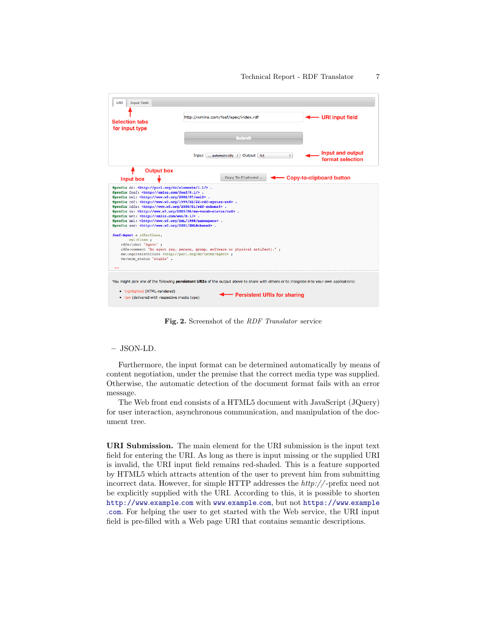

<span id="page-7-0"></span>Fig. 2. Screenshot of the RDF Translator service

#### – JSON-LD.

Furthermore, the input format can be determined automatically by means of content negotiation, under the premise that the correct media type was supplied. Otherwise, the automatic detection of the document format fails with an error message.

The Web front end consists of a HTML5 document with JavaScript (JQuery) for user interaction, asynchronous communication, and manipulation of the document tree.

URI Submission. The main element for the URI submission is the input text field for entering the URI. As long as there is input missing or the supplied URI is invalid, the URI input field remains red-shaded. This is a feature supported by HTML5 which attracts attention of the user to prevent him from submitting incorrect data. However, for simple HTTP addresses the http:// -prefix need not be explicitly supplied with the URI. According to this, it is possible to shorten [http://www](http://www.example.com).example.com with www.[example](www.example.com).com, but not [https://www](https://www.example.com).example .[com](https://www.example.com). For helping the user to get started with the Web service, the URI input field is pre-filled with a Web page URI that contains semantic descriptions.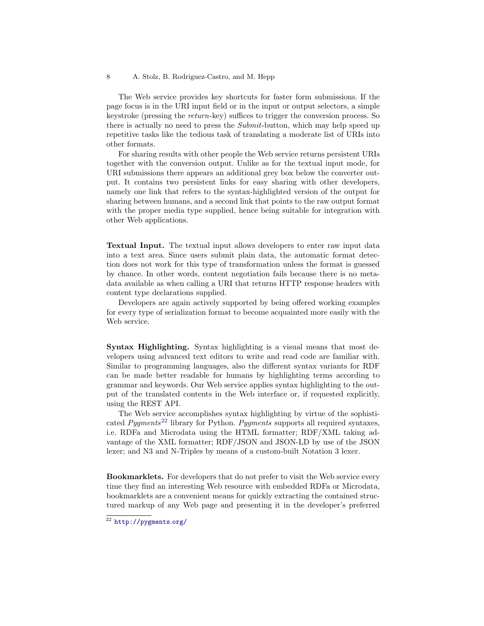#### 8 A. Stolz, B. Rodriguez-Castro, and M. Hepp

The Web service provides key shortcuts for faster form submissions. If the page focus is in the URI input field or in the input or output selectors, a simple keystroke (pressing the return-key) suffices to trigger the conversion process. So there is actually no need to press the *Submit*-button, which may help speed up repetitive tasks like the tedious task of translating a moderate list of URIs into other formats.

For sharing results with other people the Web service returns persistent URIs together with the conversion output. Unlike as for the textual input mode, for URI submissions there appears an additional grey box below the converter output. It contains two persistent links for easy sharing with other developers, namely one link that refers to the syntax-highlighted version of the output for sharing between humans, and a second link that points to the raw output format with the proper media type supplied, hence being suitable for integration with other Web applications.

Textual Input. The textual input allows developers to enter raw input data into a text area. Since users submit plain data, the automatic format detection does not work for this type of transformation unless the format is guessed by chance. In other words, content negotiation fails because there is no metadata available as when calling a URI that returns HTTP response headers with content type declarations supplied.

Developers are again actively supported by being offered working examples for every type of serialization format to become acquainted more easily with the Web service.

Syntax Highlighting. Syntax highlighting is a visual means that most developers using advanced text editors to write and read code are familiar with. Similar to programming languages, also the different syntax variants for RDF can be made better readable for humans by highlighting terms according to grammar and keywords. Our Web service applies syntax highlighting to the output of the translated contents in the Web interface or, if requested explicitly, using the REST API.

The Web service accomplishes syntax highlighting by virtue of the sophisticated *Pygments*<sup>[22](#page-8-0)</sup> library for Python. *Pygments* supports all required syntaxes, i.e. RDFa and Microdata using the HTML formatter; RDF/XML taking advantage of the XML formatter; RDF/JSON and JSON-LD by use of the JSON lexer; and N3 and N-Triples by means of a custom-built Notation 3 lexer.

Bookmarklets. For developers that do not prefer to visit the Web service every time they find an interesting Web resource with embedded RDFa or Microdata, bookmarklets are a convenient means for quickly extracting the contained structured markup of any Web page and presenting it in the developer's preferred

<span id="page-8-0"></span> $22$  [http://pygments](http://pygments.org/).org/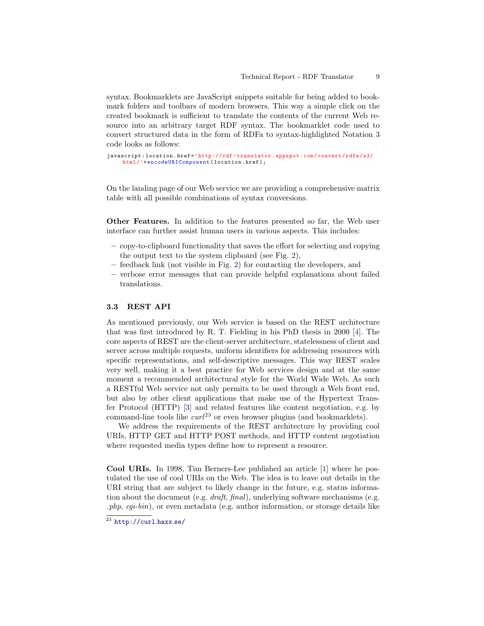syntax. Bookmarklets are JavaScript snippets suitable for being added to bookmark folders and toolbars of modern browsers. This way a simple click on the created bookmark is sufficient to translate the contents of the current Web resource into an arbitrary target RDF syntax. The bookmarklet code used to convert structured data in the form of RDFa to syntax-highlighted Notation 3 code looks as follows:

```
javascript : location . href ='http :// rdf - translator . appspot .com / convert / rdfa /n3/
     html /'+ encodeURIComponent ( location . href );
```
On the landing page of our Web service we are providing a comprehensive matrix table with all possible combinations of syntax conversions.

Other Features. In addition to the features presented so far, the Web user interface can further assist human users in various aspects. This includes:

- copy-to-clipboard functionality that saves the effort for selecting and copying the output text to the system clipboard (see Fig. [2\)](#page-7-0),
- feedback link (not visible in Fig. [2\)](#page-7-0) for contacting the developers, and
- verbose error messages that can provide helpful explanations about failed translations.

#### 3.3 REST API

As mentioned previously, our Web service is based on the REST architecture that was first introduced by R. T. Fielding in his PhD thesis in 2000 [\[4\]](#page-15-7). The core aspects of REST are the client-server architecture, statelessness of client and server across multiple requests, uniform identifiers for addressing resources with specific representations, and self-descriptive messages. This way REST scales very well, making it a best practice for Web services design and at the same moment a recommended architectural style for the World Wide Web. As such a RESTful Web service not only permits to be used through a Web front end, but also by other client applications that make use of the Hypertext Transfer Protocol (HTTP) [\[3\]](#page-15-8) and related features like content negotiation, e.g. by command-line tools like  $curl^{23}$  $curl^{23}$  $curl^{23}$  or even browser plugins (and bookmarklets).

We address the requirements of the REST architecture by providing cool URIs, HTTP GET and HTTP POST methods, and HTTP content negotiation where requested media types define how to represent a resource.

Cool URIs. In 1998, Tim Berners-Lee published an article [\[1\]](#page-15-9) where he postulated the use of cool URIs on the Web. The idea is to leave out details in the URI string that are subject to likely change in the future, e.g. status information about the document (e.g. draft, final), underlying software mechanisms (e.g.  $.php, cgi-bin)$ , or even metadata (e.g. author information, or storage details like

<span id="page-9-0"></span> $\overline{^{23}$  [http://curl](http://curl.haxx.se/).haxx.se/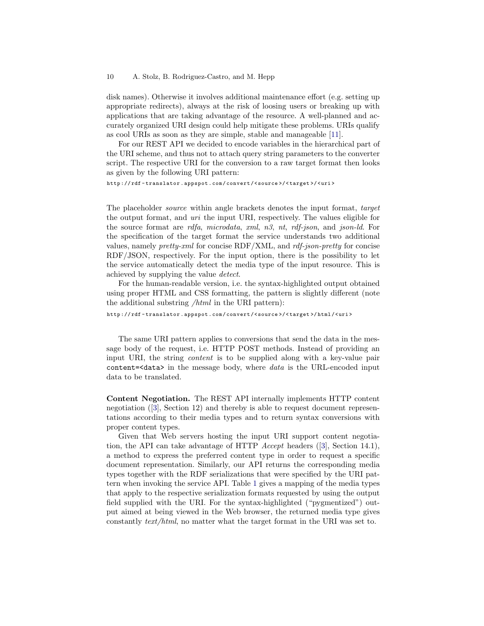#### 10 A. Stolz, B. Rodriguez-Castro, and M. Hepp

disk names). Otherwise it involves additional maintenance effort (e.g. setting up appropriate redirects), always at the risk of loosing users or breaking up with applications that are taking advantage of the resource. A well-planned and accurately organized URI design could help mitigate these problems. URIs qualify as cool URIs as soon as they are simple, stable and manageable [\[11\]](#page-15-10).

For our REST API we decided to encode variables in the hierarchical part of the URI scheme, and thus not to attach query string parameters to the converter script. The respective URI for the conversion to a raw target format then looks as given by the following URI pattern:

http :// rdf - translator . appspot . com / convert /< source >/ < target >/ < uri >

The placeholder source within angle brackets denotes the input format, target the output format, and uri the input URI, respectively. The values eligible for the source format are rdfa, microdata, xml, n3, nt, rdf-json, and json-ld. For the specification of the target format the service understands two additional values, namely *pretty-xml* for concise  $RDF/XML$ , and *rdf-json-pretty* for concise RDF/JSON, respectively. For the input option, there is the possibility to let the service automatically detect the media type of the input resource. This is achieved by supplying the value detect.

For the human-readable version, i.e. the syntax-highlighted output obtained using proper HTML and CSS formatting, the pattern is slightly different (note the additional substring /html in the URI pattern):

http :// rdf - translator . appspot . com / convert /< source >/ < target >/ html /< uri >

The same URI pattern applies to conversions that send the data in the message body of the request, i.e. HTTP POST methods. Instead of providing an input URI, the string content is to be supplied along with a key-value pair content= $\alpha$ ata> in the message body, where *data* is the URL-encoded input data to be translated.

Content Negotiation. The REST API internally implements HTTP content negotiation ([\[3\]](#page-15-8), Section 12) and thereby is able to request document representations according to their media types and to return syntax conversions with proper content types.

Given that Web servers hosting the input URI support content negotiation, the API can take advantage of HTTP Accept headers ([\[3\]](#page-15-8), Section 14.1), a method to express the preferred content type in order to request a specific document representation. Similarly, our API returns the corresponding media types together with the RDF serializations that were specified by the URI pattern when invoking the service API. Table [1](#page-11-0) gives a mapping of the media types that apply to the respective serialization formats requested by using the output field supplied with the URI. For the syntax-highlighted ("pygmentized") output aimed at being viewed in the Web browser, the returned media type gives constantly text/html, no matter what the target format in the URI was set to.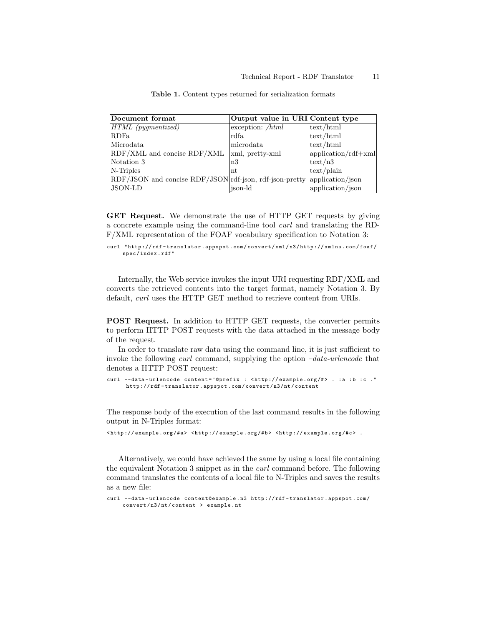| Document format                                         | Output value in URI Content type |                         |
|---------------------------------------------------------|----------------------------------|-------------------------|
| $HTML$ (pygmentized)                                    | $\alpha$ exception: <i>/html</i> | text/html               |
| RDFa                                                    | rdfa                             | text/html               |
| Microdata                                               | microdata                        | text/html               |
| RDF/XML and concise RDF/XML                             | xml, pretty-xml                  | $ $ application/rdf+xml |
| Notation 3                                              | n3                               | $ \text{text/n3} $      |
| N-Triples                                               | nt                               | text/plain              |
| RDF/JSON and concise RDF/JSON rdf-json, rdf-json-pretty |                                  | application/json        |
| <b>JSON-LD</b>                                          | ison-ld                          | application/json        |

<span id="page-11-0"></span>Table 1. Content types returned for serialization formats

GET Request. We demonstrate the use of HTTP GET requests by giving a concrete example using the command-line tool curl and translating the RD-F/XML representation of the FOAF vocabulary specification to Notation 3:

```
curl " http :// rdf - translator . appspot . com / convert / xml / n3 / http :// xmlns . com / foaf /
      spec / index . rdf "
```
Internally, the Web service invokes the input URI requesting RDF/XML and converts the retrieved contents into the target format, namely Notation 3. By default, curl uses the HTTP GET method to retrieve content from URIs.

POST Request. In addition to HTTP GET requests, the converter permits to perform HTTP POST requests with the data attached in the message body of the request.

In order to translate raw data using the command line, it is just sufficient to invoke the following *curl* command, supplying the option  $-data-urlencode$  that denotes a HTTP POST request:

```
curl --data-urlencode content="@prefix : <http://example.org/#> . :a :b :c ."
      http :// rdf - translator . appspot . com / convert / n3 / nt / content
```
The response body of the execution of the last command results in the following output in N-Triples format:

< http :// example . org /#a > < http :// example . org /# b > < http :// example . org /#c > .

Alternatively, we could have achieved the same by using a local file containing the equivalent Notation 3 snippet as in the curl command before. The following command translates the contents of a local file to N-Triples and saves the results as a new file:

curl -- data - urlencode content@example . n3 http :// rdf - translator . appspot . com / convert / n3 / nt / content > example . nt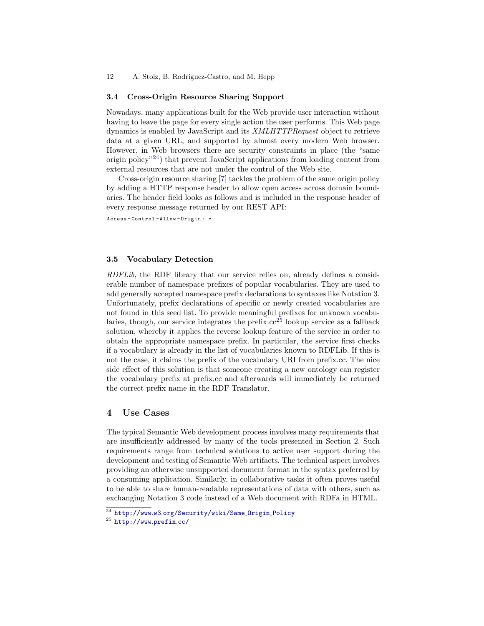#### 12 A. Stolz, B. Rodriguez-Castro, and M. Hepp

#### 3.4 Cross-Origin Resource Sharing Support

Nowadays, many applications built for the Web provide user interaction without having to leave the page for every single action the user performs. This Web page dynamics is enabled by JavaScript and its XMLHTTPRequest object to retrieve data at a given URL, and supported by almost every modern Web browser. However, in Web browsers there are security constraints in place (the "same origin policy"[24](#page-12-1)) that prevent JavaScript applications from loading content from external resources that are not under the control of the Web site.

Cross-origin resource sharing [\[7\]](#page-15-11) tackles the problem of the same origin policy by adding a HTTP response header to allow open access across domain boundaries. The header field looks as follows and is included in the response header of every response message returned by our REST API:

Access - Control - Allow - Origin : \*

#### 3.5 Vocabulary Detection

RDFLib, the RDF library that our service relies on, already defines a considerable number of namespace prefixes of popular vocabularies. They are used to add generally accepted namespace prefix declarations to syntaxes like Notation 3. Unfortunately, prefix declarations of specific or newly created vocabularies are not found in this seed list. To provide meaningful prefixes for unknown vocabularies, though, our service integrates the prefix. $cc^{25}$  $cc^{25}$  $cc^{25}$  lookup service as a fallback solution, whereby it applies the reverse lookup feature of the service in order to obtain the appropriate namespace prefix. In particular, the service first checks if a vocabulary is already in the list of vocabularies known to RDFLib. If this is not the case, it claims the prefix of the vocabulary URI from prefix.cc. The nice side effect of this solution is that someone creating a new ontology can register the vocabulary prefix at prefix.cc and afterwards will immediately be returned the correct prefix name in the RDF Translator.

# <span id="page-12-0"></span>4 Use Cases

The typical Semantic Web development process involves many requirements that are insufficiently addressed by many of the tools presented in Section [2.](#page-3-0) Such requirements range from technical solutions to active user support during the development and testing of Semantic Web artifacts. The technical aspect involves providing an otherwise unsupported document format in the syntax preferred by a consuming application. Similarly, in collaborative tasks it often proves useful to be able to share human-readable representations of data with others, such as exchanging Notation 3 code instead of a Web document with RDFa in HTML.

<span id="page-12-1"></span><sup>24</sup> http://www.w3.[org/Security/wiki/Same](http://www.w3.org/Security/wiki/Same_Origin_Policy) Origin Policy

<span id="page-12-2"></span><sup>25</sup> [http://www](http://www.prefix.cc/).prefix.cc/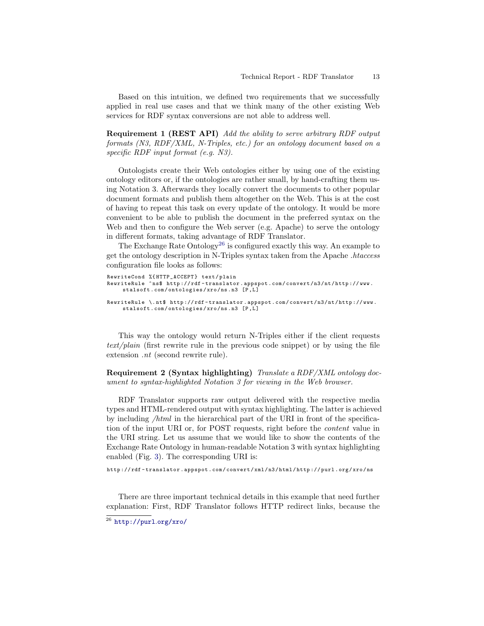Based on this intuition, we defined two requirements that we successfully applied in real use cases and that we think many of the other existing Web services for RDF syntax conversions are not able to address well.

Requirement 1 (REST API) Add the ability to serve arbitrary RDF output formats (N3, RDF/XML, N-Triples, etc.) for an ontology document based on a specific RDF input format (e.g. N3).

Ontologists create their Web ontologies either by using one of the existing ontology editors or, if the ontologies are rather small, by hand-crafting them using Notation 3. Afterwards they locally convert the documents to other popular document formats and publish them altogether on the Web. This is at the cost of having to repeat this task on every update of the ontology. It would be more convenient to be able to publish the document in the preferred syntax on the Web and then to configure the Web server (e.g. Apache) to serve the ontology in different formats, taking advantage of RDF Translator.

The Exchange Rate Ontology<sup>[26](#page-13-0)</sup> is configured exactly this way. An example to get the ontology description in N-Triples syntax taken from the Apache .htaccess configuration file looks as follows:

```
RewriteCond %{HTTP_ACCEPT} text/plain
RewriteRule ^ns$ http://rdf-translator.appspot.com/convert/n3/nt/http://www.
    stalsoft.com/ontologies/xro/ns.n3 [P,L]
RewriteRule \. nt$ http :// rdf - translator . appspot . com / convert / n3 / nt / http :// www .
     stalsoft.com/ontologies/xro/ns.n3 [P,L]
```
This way the ontology would return N-Triples either if the client requests text/plain (first rewrite rule in the previous code snippet) or by using the file extension .nt (second rewrite rule).

Requirement 2 (Syntax highlighting) Translate a RDF/XML ontology document to syntax-highlighted Notation 3 for viewing in the Web browser.

RDF Translator supports raw output delivered with the respective media types and HTML-rendered output with syntax highlighting. The latter is achieved by including /html in the hierarchical part of the URI in front of the specification of the input URI or, for POST requests, right before the content value in the URI string. Let us assume that we would like to show the contents of the Exchange Rate Ontology in human-readable Notation 3 with syntax highlighting enabled (Fig. [3\)](#page-14-1). The corresponding URI is:

http :// rdf - translator . appspot . com / convert / xml / n3 / html / http :// purl . org / xro / ns

There are three important technical details in this example that need further explanation: First, RDF Translator follows HTTP redirect links, because the

<span id="page-13-0"></span> $\overline{^{26}}$  [http://purl](http://purl.org/xro/).org/xro/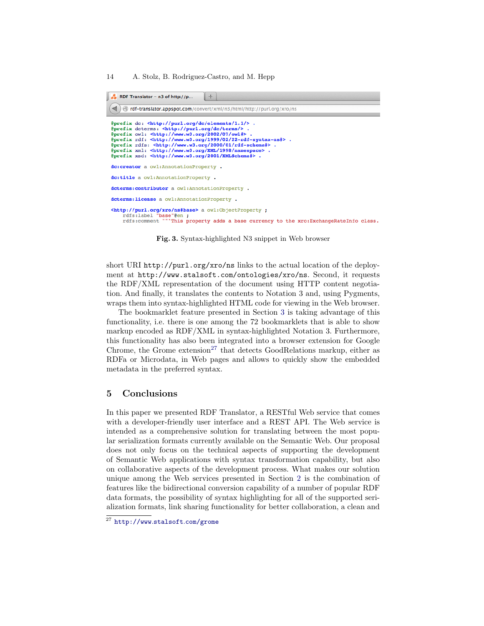

<span id="page-14-1"></span>Fig. 3. Syntax-highlighted N3 snippet in Web browser

short URI http://purl.org/xro/ns links to the actual location of the deployment at http://www.stalsoft.com/ontologies/xro/ns. Second, it requests the RDF/XML representation of the document using HTTP content negotiation. And finally, it translates the contents to Notation 3 and, using Pygments, wraps them into syntax-highlighted HTML code for viewing in the Web browser.

The bookmarklet feature presented in Section [3](#page-5-0) is taking advantage of this functionality, i.e. there is one among the 72 bookmarklets that is able to show markup encoded as RDF/XML in syntax-highlighted Notation 3. Furthermore, this functionality has also been integrated into a browser extension for Google Chrome, the Grome extension<sup>[27](#page-14-2)</sup> that detects GoodRelations markup, either as RDFa or Microdata, in Web pages and allows to quickly show the embedded metadata in the preferred syntax.

# <span id="page-14-0"></span>5 Conclusions

In this paper we presented RDF Translator, a RESTful Web service that comes with a developer-friendly user interface and a REST API. The Web service is intended as a comprehensive solution for translating between the most popular serialization formats currently available on the Semantic Web. Our proposal does not only focus on the technical aspects of supporting the development of Semantic Web applications with syntax transformation capability, but also on collaborative aspects of the development process. What makes our solution unique among the Web services presented in Section [2](#page-3-0) is the combination of features like the bidirectional conversion capability of a number of popular RDF data formats, the possibility of syntax highlighting for all of the supported serialization formats, link sharing functionality for better collaboration, a clean and

<span id="page-14-2"></span> $\overline{27}$  [http://www](http://www.stalsoft.com/grome).stalsoft.com/grome